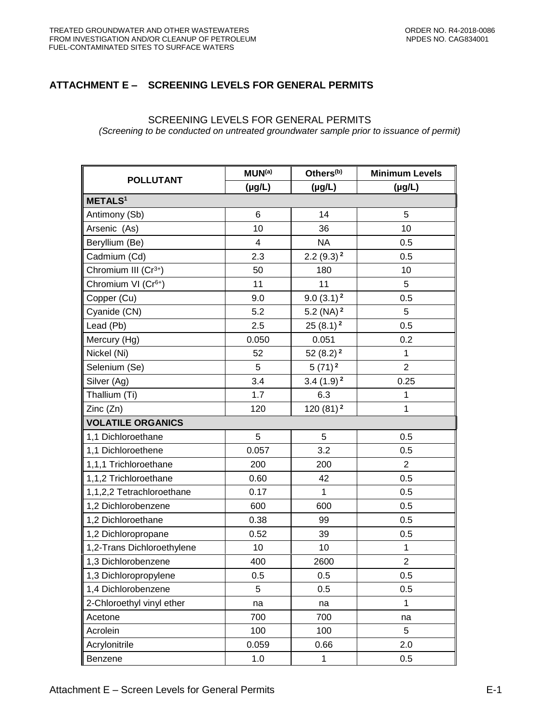## **ATTACHMENT E – SCREENING LEVELS FOR GENERAL PERMITS**

## SCREENING LEVELS FOR GENERAL PERMITS

*(Screening to be conducted on untreated groundwater sample prior to issuance of permit)*

| <b>POLLUTANT</b>                 | MUN <sup>(a)</sup>      | Others <sup>(b)</sup>   | <b>Minimum Levels</b> |  |  |  |
|----------------------------------|-------------------------|-------------------------|-----------------------|--|--|--|
|                                  | $(\mu g/L)$             | $(\mu g/L)$             | $(\mu g/L)$           |  |  |  |
| <b>METALS1</b>                   |                         |                         |                       |  |  |  |
| Antimony (Sb)                    | $\,6$                   | 14                      | 5                     |  |  |  |
| Arsenic (As)                     | 10                      | 36                      | 10                    |  |  |  |
| Beryllium (Be)                   | $\overline{\mathbf{4}}$ | <b>NA</b>               | 0.5                   |  |  |  |
| Cadmium (Cd)                     | 2.3                     | $2.2(9.3)^2$            | 0.5                   |  |  |  |
| Chromium III (Cr <sup>3+</sup> ) | 50                      | 180                     | 10                    |  |  |  |
| Chromium VI (Cr <sup>6+</sup> )  | 11                      | 11                      | 5                     |  |  |  |
| Copper (Cu)                      | 9.0                     | $9.0(3.1)^2$            | 0.5                   |  |  |  |
| Cyanide (CN)                     | 5.2                     | 5.2 (NA) $^2$           | 5                     |  |  |  |
| Lead (Pb)                        | 2.5                     | $25(8.1)^2$             | 0.5                   |  |  |  |
| Mercury (Hg)                     | 0.050                   | 0.051                   | 0.2                   |  |  |  |
| Nickel (Ni)                      | 52                      | 52 $(8.2)$ <sup>2</sup> | $\mathbf 1$           |  |  |  |
| Selenium (Se)                    | 5                       | $5(71)^2$               | $\overline{2}$        |  |  |  |
| Silver (Ag)                      | 3.4                     | $3.4(1.9)^2$            | 0.25                  |  |  |  |
| Thallium (Ti)                    | 1.7                     | 6.3                     | 1                     |  |  |  |
| Zinc (Zn)                        | 120                     | 120 $(81)^2$            | $\mathbf{1}$          |  |  |  |
| <b>VOLATILE ORGANICS</b>         |                         |                         |                       |  |  |  |
| 1,1 Dichloroethane               | 5                       | 5                       | 0.5                   |  |  |  |
| 1,1 Dichloroethene               | 0.057                   | 3.2                     | 0.5                   |  |  |  |
| 1,1,1 Trichloroethane            | 200                     | 200                     | $\overline{2}$        |  |  |  |
| 1,1,2 Trichloroethane            | 0.60                    | 42                      | 0.5                   |  |  |  |
| 1,1,2,2 Tetrachloroethane        | 0.17                    | 1                       | 0.5                   |  |  |  |
| 1,2 Dichlorobenzene              | 600                     | 600                     | 0.5                   |  |  |  |
| 1,2 Dichloroethane               | 0.38                    | 99                      | 0.5                   |  |  |  |
| 1,2 Dichloropropane              | 0.52                    | 39                      | 0.5                   |  |  |  |
| 1,2-Trans Dichloroethylene       | 10                      | 10                      | 1                     |  |  |  |
| 1,3 Dichlorobenzene              | 400                     | 2600                    | $\overline{2}$        |  |  |  |
| 1,3 Dichloropropylene            | 0.5                     | 0.5                     | 0.5                   |  |  |  |
| 1,4 Dichlorobenzene              | 5                       | 0.5                     | 0.5                   |  |  |  |
| 2-Chloroethyl vinyl ether        | na                      | na                      | $\mathbf{1}$          |  |  |  |
| Acetone                          | 700                     | 700                     | na                    |  |  |  |
| Acrolein                         | 100                     | 100                     | 5                     |  |  |  |
| Acrylonitrile                    | 0.059                   | 0.66                    | 2.0                   |  |  |  |
| Benzene                          | 1.0                     | $\mathbf{1}$            | 0.5                   |  |  |  |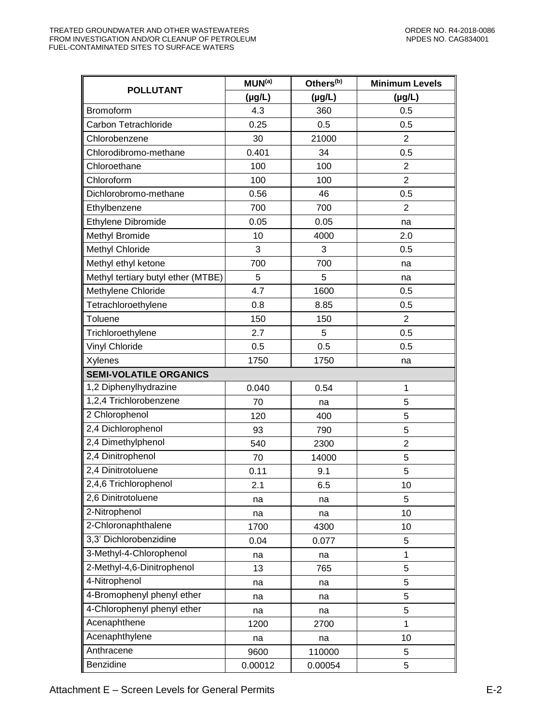| <b>POLLUTANT</b>                   | MUN <sup>(a)</sup> | Others <sup>(b)</sup> | <b>Minimum Levels</b> |
|------------------------------------|--------------------|-----------------------|-----------------------|
|                                    | $(\mu g/L)$        | $(\mu g/L)$           | $(\mu g/L)$           |
| Bromoform                          | 4.3                | 360                   | 0.5                   |
| Carbon Tetrachloride               | 0.25               | 0.5                   | 0.5                   |
| Chlorobenzene                      | 30                 | 21000                 | $\overline{2}$        |
| Chlorodibromo-methane              | 0.401              | 34                    | 0.5                   |
| Chloroethane                       | 100                | 100                   | $\overline{2}$        |
| Chloroform                         | 100                | 100                   | $\overline{2}$        |
| Dichlorobromo-methane              | 0.56               | 46                    | 0.5                   |
| Ethylbenzene                       | 700                | 700                   | $\overline{2}$        |
| Ethylene Dibromide                 | 0.05               | 0.05                  | na                    |
| Methyl Bromide                     | 10                 | 4000                  | 2.0                   |
| Methyl Chloride                    | 3                  | 3                     | 0.5                   |
| Methyl ethyl ketone                | 700                | 700                   | na                    |
| Methyl tertiary butyl ether (MTBE) | 5                  | 5                     | na                    |
| Methylene Chloride                 | 4.7                | 1600                  | 0.5                   |
| Tetrachloroethylene                | 0.8                | 8.85                  | 0.5                   |
| Toluene                            | 150                | 150                   | $\overline{2}$        |
| Trichloroethylene                  | 2.7                | 5                     | 0.5                   |
| <b>Vinyl Chloride</b>              | 0.5                | 0.5                   | 0.5                   |
| Xylenes                            | 1750               | 1750                  | na                    |
| <b>SEMI-VOLATILE ORGANICS</b>      |                    |                       |                       |
| $1,2$ Diphenylhydrazine            | 0.040              | 0.54                  | $\mathbf{1}$          |
| 1,2,4 Trichlorobenzene             | 70                 | na                    | 5                     |
| 2 Chlorophenol                     | 120                | 400                   | 5                     |
| 2,4 Dichlorophenol                 | 93                 | 790                   | 5                     |
| 2,4 Dimethylphenol                 | 540                | 2300                  | $\overline{2}$        |
| 2,4 Dinitrophenol                  | 70                 | 14000                 | 5                     |
| 2,4 Dinitrotoluene                 | 0.11               | 9.1                   | 5                     |
| 2,4,6 Trichlorophenol              | 2.1                | 6.5                   | 10                    |
| 2,6 Dinitrotoluene                 | na                 | na                    | 5                     |
| 2-Nitrophenol                      | na                 | na                    | 10                    |
| 2-Chloronaphthalene                | 1700               | 4300                  | 10                    |
| 3,3' Dichlorobenzidine             | 0.04               | 0.077                 | 5                     |
| 3-Methyl-4-Chlorophenol            | na                 | na                    | 1                     |
| 2-Methyl-4,6-Dinitrophenol         | 13                 | 765                   | 5                     |
| 4-Nitrophenol                      | na                 | na                    | 5                     |
| 4-Bromophenyl phenyl ether         | na                 | na                    | 5                     |
| 4-Chlorophenyl phenyl ether        | na                 | na                    | 5                     |
| Acenaphthene                       | 1200               | 2700                  | 1                     |
| Acenaphthylene                     | na                 | na                    | 10                    |
| Anthracene                         | 9600               | 110000                | 5                     |
| Benzidine                          | 0.00012            | 0.00054               | 5                     |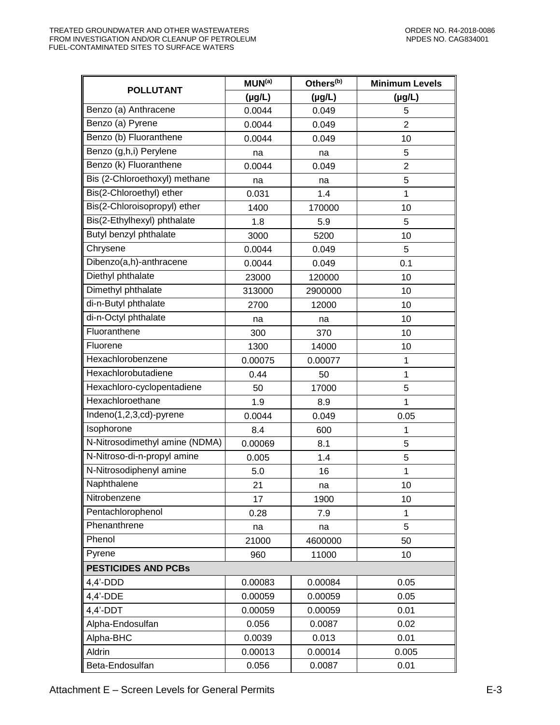| <b>POLLUTANT</b>               | MUN <sup>(a)</sup> | Others <sup>(b)</sup> | <b>Minimum Levels</b> |
|--------------------------------|--------------------|-----------------------|-----------------------|
|                                | $(\mu g/L)$        | $(\mu g/L)$           | $(\mu g/L)$           |
| Benzo (a) Anthracene           | 0.0044             | 0.049                 | 5                     |
| Benzo (a) Pyrene               | 0.0044             | 0.049                 | $\overline{2}$        |
| Benzo (b) Fluoranthene         | 0.0044             | 0.049                 | 10                    |
| Benzo (g,h,i) Perylene         | na                 | na                    | 5                     |
| Benzo (k) Fluoranthene         | 0.0044             | 0.049                 | $\overline{c}$        |
| Bis (2-Chloroethoxyl) methane  | na                 | na                    | 5                     |
| Bis(2-Chloroethyl) ether       | 0.031              | 1.4                   | 1                     |
| Bis(2-Chloroisopropyl) ether   | 1400               | 170000                | 10                    |
| Bis(2-Ethylhexyl) phthalate    | 1.8                | 5.9                   | 5                     |
| Butyl benzyl phthalate         | 3000               | 5200                  | 10                    |
| Chrysene                       | 0.0044             | 0.049                 | 5                     |
| Dibenzo(a,h)-anthracene        | 0.0044             | 0.049                 | 0.1                   |
| Diethyl phthalate              | 23000              | 120000                | 10                    |
| Dimethyl phthalate             | 313000             | 2900000               | 10                    |
| di-n-Butyl phthalate           | 2700               | 12000                 | 10                    |
| di-n-Octyl phthalate           | na                 | na                    | 10                    |
| Fluoranthene                   | 300                | 370                   | 10                    |
| Fluorene                       | 1300               | 14000                 | 10                    |
| Hexachlorobenzene              | 0.00075            | 0.00077               | 1                     |
| Hexachlorobutadiene            | 0.44               | 50                    | 1                     |
| Hexachloro-cyclopentadiene     | 50                 | 17000                 | 5                     |
| Hexachloroethane               | 1.9                | 8.9                   | 1                     |
| Indeno(1,2,3,cd)-pyrene        | 0.0044             | 0.049                 | 0.05                  |
| Isophorone                     | 8.4                | 600                   | 1                     |
| N-Nitrosodimethyl amine (NDMA) | 0.00069            | 8.1                   | 5                     |
| N-Nitroso-di-n-propyl amine    | 0.005              | 1.4                   | 5                     |
| N-Nitrosodiphenyl amine        | 5.0                | 16                    | 1                     |
| Naphthalene                    | 21                 | na                    | 10 <sup>1</sup>       |
| Nitrobenzene                   | 17                 | 1900                  | 10                    |
| Pentachlorophenol              | 0.28               | 7.9                   | 1                     |
| Phenanthrene                   | na                 | na                    | 5                     |
| Phenol                         | 21000              | 4600000               | 50                    |
| Pyrene                         | 960                | 11000                 | 10                    |
| <b>PESTICIDES AND PCBs</b>     |                    |                       |                       |
| $4,4'$ -DDD                    | 0.00083            | 0.00084               | 0.05                  |
| 4,4'-DDE                       | 0.00059            | 0.00059               | 0.05                  |
| $4,4'$ -DDT                    | 0.00059            | 0.00059               | 0.01                  |
| Alpha-Endosulfan               | 0.056              | 0.0087                | 0.02                  |
| Alpha-BHC                      | 0.0039             | 0.013                 | 0.01                  |
| Aldrin                         | 0.00013            | 0.00014               | 0.005                 |
| Beta-Endosulfan                | 0.056              | 0.0087                | 0.01                  |